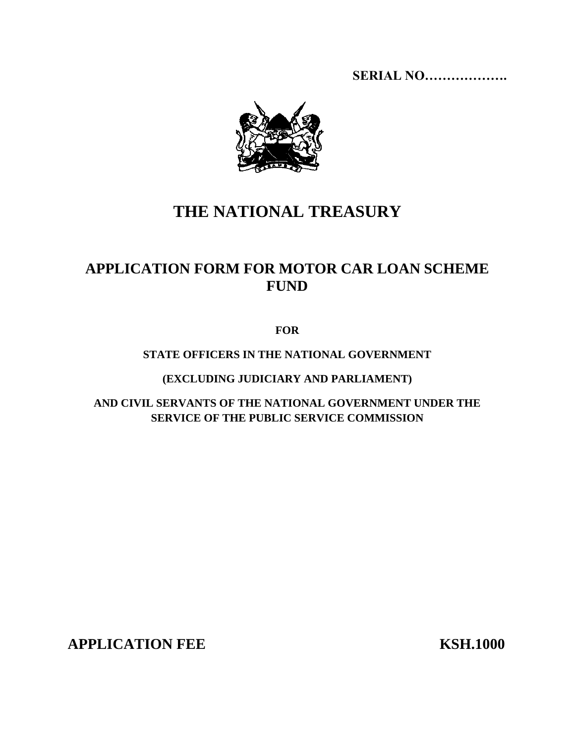**SERIAL NO……………….**



# **THE NATIONAL TREASURY**

## **APPLICATION FORM FOR MOTOR CAR LOAN SCHEME FUND**

**FOR**

#### **STATE OFFICERS IN THE NATIONAL GOVERNMENT**

**(EXCLUDING JUDICIARY AND PARLIAMENT)**

**AND CIVIL SERVANTS OF THE NATIONAL GOVERNMENT UNDER THE SERVICE OF THE PUBLIC SERVICE COMMISSION**

**APPLICATION FEE KSH.1000**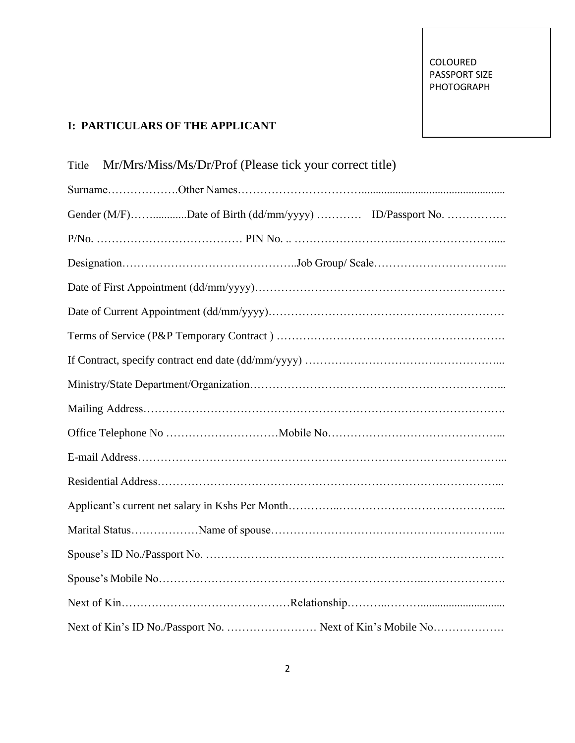### **I: PARTICULARS OF THE APPLICANT**

| Mr/Mrs/Miss/Ms/Dr/Prof (Please tick your correct title)<br>Title |
|------------------------------------------------------------------|
|                                                                  |
| Gender (M/F)Date of Birth (dd/mm/yyyy)  ID/Passport No.          |
|                                                                  |
|                                                                  |
|                                                                  |
|                                                                  |
|                                                                  |
|                                                                  |
|                                                                  |
|                                                                  |
|                                                                  |
|                                                                  |
|                                                                  |
|                                                                  |
|                                                                  |
|                                                                  |
|                                                                  |
|                                                                  |
| Next of Kin's ID No./Passport No.  Next of Kin's Mobile No       |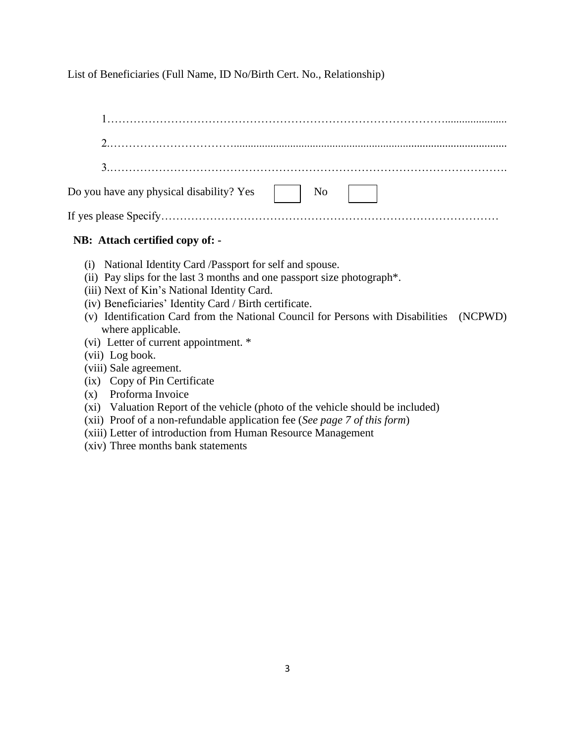List of Beneficiaries (Full Name, ID No/Birth Cert. No., Relationship)

| Do you have any physical disability? Yes $\Box$ No |  |  |  |
|----------------------------------------------------|--|--|--|
|                                                    |  |  |  |

#### **NB: Attach certified copy of: -**

- (i) National Identity Card /Passport for self and spouse.
- (ii) Pay slips for the last 3 months and one passport size photograph\*.
- (iii) Next of Kin's National Identity Card.
- (iv) Beneficiaries' Identity Card / Birth certificate.
- (v) Identification Card from the National Council for Persons with Disabilities (NCPWD) where applicable.
- (vi) Letter of current appointment. \*
- (vii) Log book.
- (viii) Sale agreement.
- (ix) Copy of Pin Certificate
- (x) Proforma Invoice
- (xi) Valuation Report of the vehicle (photo of the vehicle should be included)
- (xii) Proof of a non-refundable application fee (*See page 7 of this form*)
- (xiii) Letter of introduction from Human Resource Management
- (xiv) Three months bank statements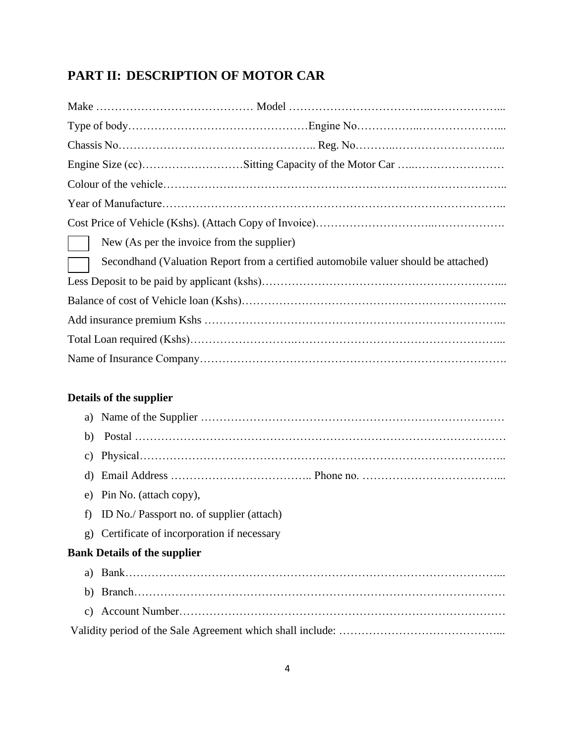## **PART II: DESCRIPTION OF MOTOR CAR**

| New (As per the invoice from the supplier)                                          |
|-------------------------------------------------------------------------------------|
| Secondhand (Valuation Report from a certified automobile valuer should be attached) |
|                                                                                     |
|                                                                                     |
|                                                                                     |
|                                                                                     |
|                                                                                     |

## **Details of the supplier**

| C)               |                                           |
|------------------|-------------------------------------------|
| d)               |                                           |
| e)               | Pin No. (attach copy),                    |
| f)               | ID No./ Passport no. of supplier (attach) |
| $\mathfrak{g}$ ) | Certificate of incorporation if necessary |
|                  | <b>Bank Details of the supplier</b>       |
|                  |                                           |
|                  |                                           |
| C)               |                                           |
|                  |                                           |
|                  |                                           |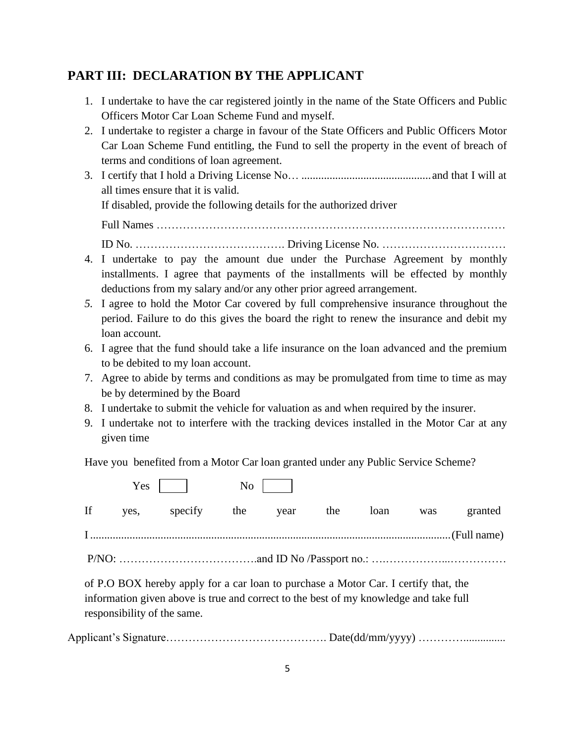## **PART III: DECLARATION BY THE APPLICANT**

- 1. I undertake to have the car registered jointly in the name of the State Officers and Public Officers Motor Car Loan Scheme Fund and myself.
- 2. I undertake to register a charge in favour of the State Officers and Public Officers Motor Car Loan Scheme Fund entitling, the Fund to sell the property in the event of breach of terms and conditions of loan agreement.
- 3. I certify that I hold a Driving License No… ..............................................and that I will at all times ensure that it is valid. If disabled, provide the following details for the authorized driver Full Names ………………………………………………………………………………… ID No. …………………………………. Driving License No. ……………………………
- 4. I undertake to pay the amount due under the Purchase Agreement by monthly installments. I agree that payments of the installments will be effected by monthly deductions from my salary and/or any other prior agreed arrangement.
- *5.* I agree to hold the Motor Car covered by full comprehensive insurance throughout the period. Failure to do this gives the board the right to renew the insurance and debit my loan account*.*
- 6. I agree that the fund should take a life insurance on the loan advanced and the premium to be debited to my loan account.
- 7. Agree to abide by terms and conditions as may be promulgated from time to time as may be by determined by the Board
- 8. I undertake to submit the vehicle for valuation as and when required by the insurer.
- 9. I undertake not to interfere with the tracking devices installed in the Motor Car at any given time

Have you benefited from a Motor Car loan granted under any Public Service Scheme?

|  | $Yes$ $\vert$ $No$ $\vert$   |  |  |                  |
|--|------------------------------|--|--|------------------|
|  | If yes, specify the year the |  |  | loan was granted |
|  |                              |  |  |                  |
|  |                              |  |  |                  |

of P.O BOX hereby apply for a car loan to purchase a Motor Car. I certify that, the information given above is true and correct to the best of my knowledge and take full responsibility of the same.

Applicant's Signature……………………………………. Date(dd/mm/yyyy) …………...............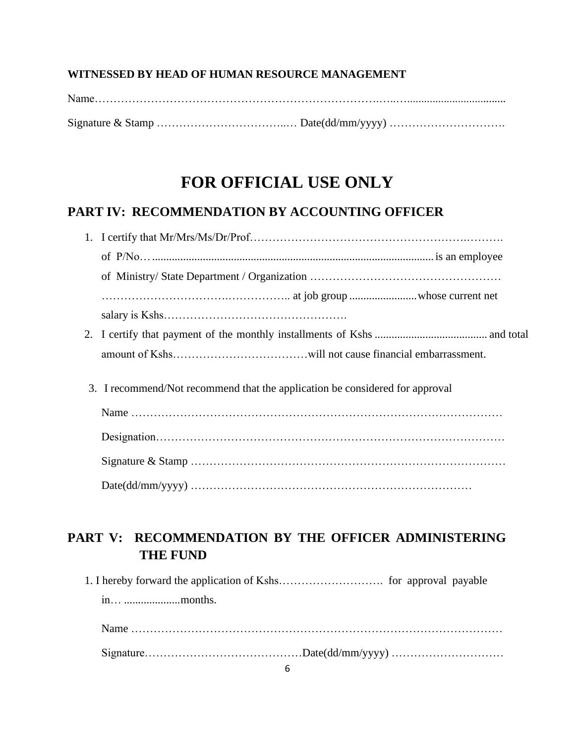#### **WITNESSED BY HEAD OF HUMAN RESOURCE MANAGEMENT**

# **FOR OFFICIAL USE ONLY**

### **PART IV: RECOMMENDATION BY ACCOUNTING OFFICER**

| 3. I recommend/Not recommend that the application be considered for approval |
|------------------------------------------------------------------------------|
|                                                                              |
|                                                                              |
|                                                                              |
|                                                                              |

## **PART V: RECOMMENDATION BY THE OFFICER ADMINISTERING THE FUND**

1. I hereby forward the application of Kshs………………………. for approval payable in… ....................months.